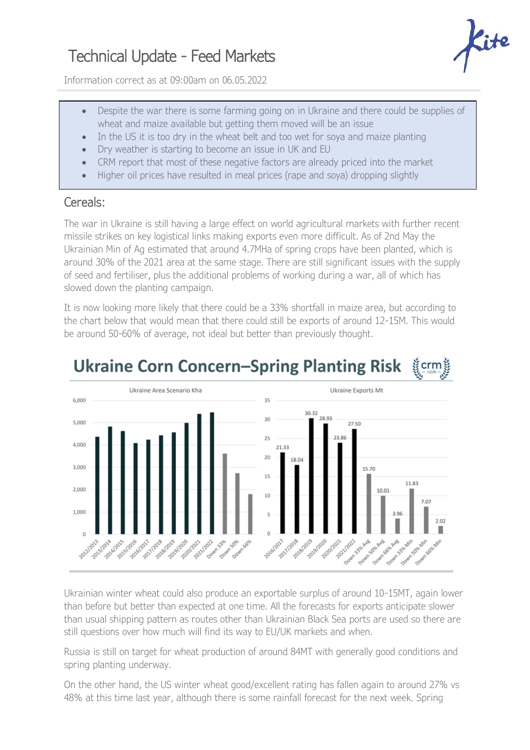## Technical Update - Feed Markets



Information correct as at 09:00am on 06.05.2022

- Despite the war there is some farming going on in Ukraine and there could be supplies of wheat and maize available but getting them moved will be an issue
- In the US it is too dry in the wheat belt and too wet for soya and maize planting
- Dry weather is starting to become an issue in UK and EU
- CRM report that most of these negative factors are already priced into the market
- Higher oil prices have resulted in meal prices (rape and soya) dropping slightly

## Cereals:

The war in Ukraine is still having a large effect on world agricultural markets with further recent missile strikes on key logistical links making exports even more difficult. As of 2nd May the Ukrainian Min of Ag estimated that around 4.7MHa of spring crops have been planted, which is around 30% of the 2021 area at the same stage. There are still significant issues with the supply of seed and fertiliser, plus the additional problems of working during a war, all of which has slowed down the planting campaign.

It is now looking more likely that there could be a 33% shortfall in maize area, but according to the chart below that would mean that there could still be exports of around 12-15M. This would be around 50-60% of average, not ideal but better than previously thought.



## **Ukraine Corn Concern-Spring Planting Risk** ទ្វីcrmខ្ល

Ukrainian winter wheat could also produce an exportable surplus of around 10-15MT, again lower than before but better than expected at one time. All the forecasts for exports anticipate slower than usual shipping pattern as routes other than Ukrainian Black Sea ports are used so there are still questions over how much will find its way to EU/UK markets and when.

Russia is still on target for wheat production of around 84MT with generally good conditions and spring planting underway.

On the other hand, the US winter wheat good/excellent rating has fallen again to around 27% vs 48% at this time last year, although there is some rainfall forecast for the next week. Spring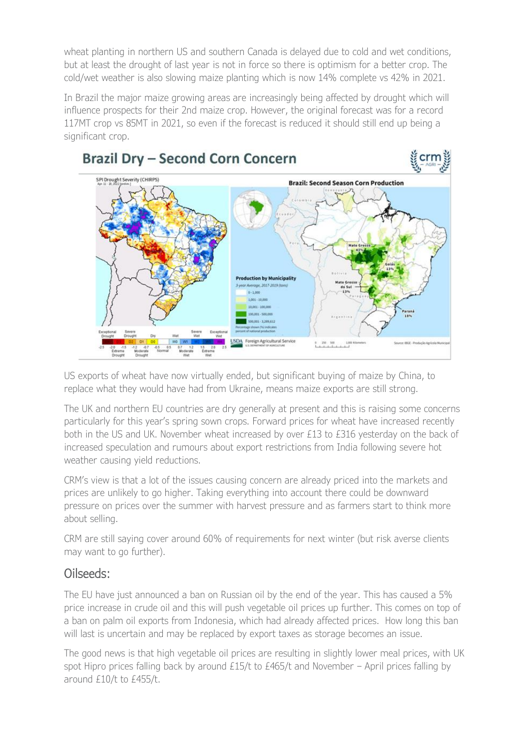wheat planting in northern US and southern Canada is delayed due to cold and wet conditions, but at least the drought of last year is not in force so there is optimism for a better crop. The cold/wet weather is also slowing maize planting which is now 14% complete vs 42% in 2021.

In Brazil the major maize growing areas are increasingly being affected by drought which will influence prospects for their 2nd maize crop. However, the original forecast was for a record 117MT crop vs 85MT in 2021, so even if the forecast is reduced it should still end up being a significant crop.



US exports of wheat have now virtually ended, but significant buying of maize by China, to replace what they would have had from Ukraine, means maize exports are still strong.

The UK and northern EU countries are dry generally at present and this is raising some concerns particularly for this year's spring sown crops. Forward prices for wheat have increased recently both in the US and UK. November wheat increased by over £13 to £316 vesterday on the back of increased speculation and rumours about export restrictions from India following severe hot weather causing yield reductions.

CRM's view is that a lot of the issues causing concern are already priced into the markets and prices are unlikely to go higher. Taking everything into account there could be downward pressure on prices over the summer with harvest pressure and as farmers start to think more about selling.

CRM are still saying cover around 60% of requirements for next winter (but risk averse clients may want to go further).

## Oilseeds:

The EU have just announced a ban on Russian oil by the end of the year. This has caused a 5% price increase in crude oil and this will push vegetable oil prices up further. This comes on top of a ban on palm oil exports from Indonesia, which had already affected prices. How long this ban will last is uncertain and may be replaced by export taxes as storage becomes an issue.

The good news is that high vegetable oil prices are resulting in slightly lower meal prices, with UK spot Hipro prices falling back by around £15/t to £465/t and November – April prices falling by around £10/t to £455/t.